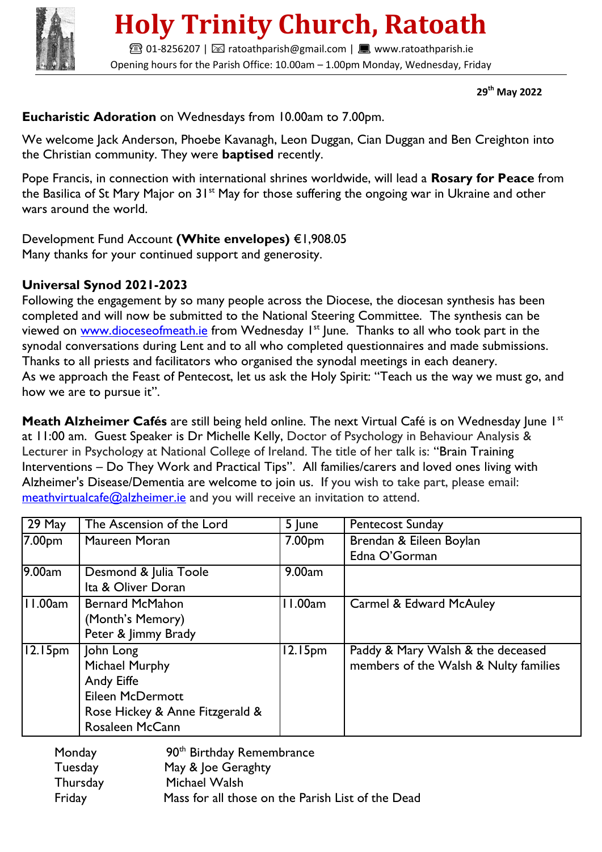

# **Holy Trinity Church, Ratoath**

**■01-8256207 | ⊠ ratoathparish@gmail.com | ■ www.ratoathparish.ie** Opening hours for the Parish Office: 10.00am – 1.00pm Monday, Wednesday, Friday

 **29th May 2022**

#### **Eucharistic Adoration** on Wednesdays from 10.00am to 7.00pm.

We welcome Jack Anderson, Phoebe Kavanagh, Leon Duggan, Cian Duggan and Ben Creighton into the Christian community. They were **baptised** recently.

Pope Francis, in connection with international shrines worldwide, will lead a **Rosary for Peace** from the Basilica of St Mary Major on 31<sup>st</sup> May for those suffering the ongoing war in Ukraine and other wars around the world.

#### Development Fund Account **(White envelopes)** €1,908.05

Many thanks for your continued support and generosity.

#### **Universal Synod 2021-2023**

Following the engagement by so many people across the Diocese, the diocesan synthesis has been completed and will now be submitted to the National Steering Committee. The synthesis can be viewed on [www.dioceseofmeath.ie](http://www.dioceseofmeath.ie/) from Wednesday I<sup>st</sup> June. Thanks to all who took part in the synodal conversations during Lent and to all who completed questionnaires and made submissions. Thanks to all priests and facilitators who organised the synodal meetings in each deanery. As we approach the Feast of Pentecost, let us ask the Holy Spirit: "Teach us the way we must go, and how we are to pursue it".

**Meath Alzheimer Cafés** are still being held online. The next Virtual Café is on Wednesday June I<sup>st</sup> at 11:00 am. Guest Speaker is Dr Michelle Kelly, Doctor of Psychology in Behaviour Analysis & Lecturer in Psychology at National College of Ireland. The title of her talk is: "Brain Training Interventions – Do They Work and Practical Tips". All families/carers and loved ones living with Alzheimer's Disease/Dementia are welcome to join us. If you wish to take part, please email: [meathvirtualcafe@alzheimer.ie](about:blank) and you will receive an invitation to attend.

| 29 May              | The Ascension of the Lord       | 5 June              | <b>Pentecost Sunday</b>               |
|---------------------|---------------------------------|---------------------|---------------------------------------|
| 7.00 <sub>pm</sub>  | Maureen Moran                   | 7.00pm              | Brendan & Eileen Boylan               |
|                     |                                 |                     | Edna O'Gorman                         |
| 9.00am              | Desmond & Julia Toole           | 9.00am              |                                       |
|                     | Ita & Oliver Doran              |                     |                                       |
| 11.00am             | <b>Bernard McMahon</b>          | 11.00am             | Carmel & Edward McAuley               |
|                     | (Month's Memory)                |                     |                                       |
|                     | Peter & Jimmy Brady             |                     |                                       |
| 12.15 <sub>pm</sub> | John Long                       | 12.15 <sub>pm</sub> | Paddy & Mary Walsh & the deceased     |
|                     | Michael Murphy                  |                     | members of the Walsh & Nulty families |
|                     | Andy Eiffe                      |                     |                                       |
|                     | <b>Eileen McDermott</b>         |                     |                                       |
|                     | Rose Hickey & Anne Fitzgerald & |                     |                                       |
|                     | <b>Rosaleen McCann</b>          |                     |                                       |

| Monday   | 90 <sup>th</sup> Birthday Remembrance             |  |  |
|----------|---------------------------------------------------|--|--|
| Tuesday  | May & Joe Geraghty                                |  |  |
| Thursday | Michael Walsh                                     |  |  |
| Friday   | Mass for all those on the Parish List of the Dead |  |  |
|          |                                                   |  |  |